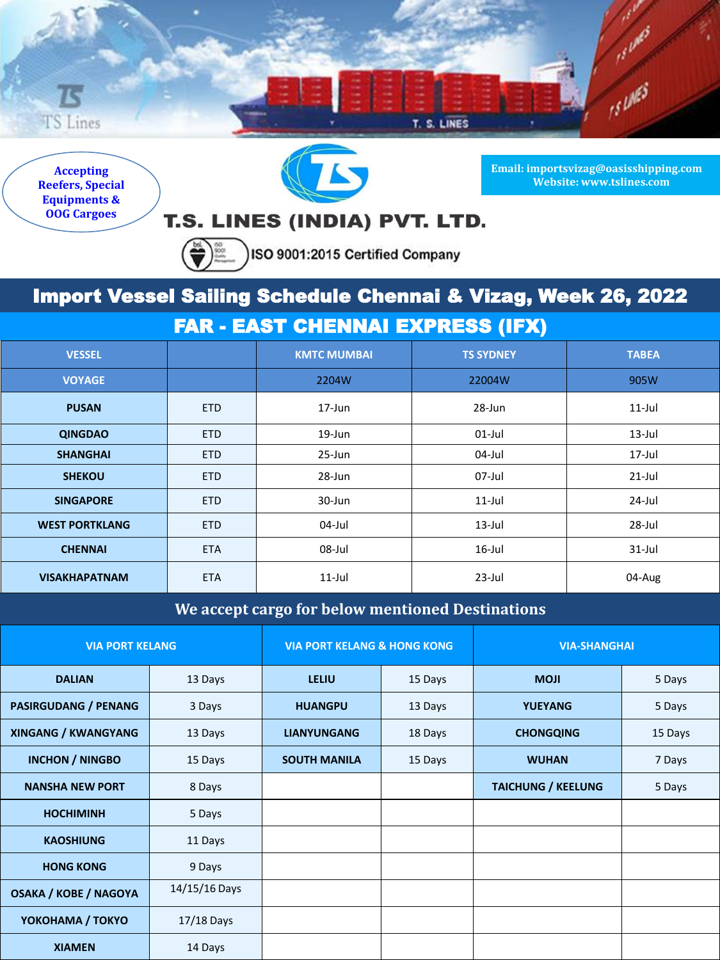

**Accepting Reefers, Special Equipments & OOG Cargoes**



**Email: importsvizag@oasisshipping.com Website: www.tslines.com**

## T.S. LINES (INDIA) PVT. LTD.

 $\left(\bigoplus_{n\geq 0}\right)_{n\geq 0}^{\infty}$ ISO 9001:2015 Certified Company

## Import Vessel Sailing Schedule Chennai & Vizag, Week 26, 2022

FAR - EAST CHENNAI EXPRESS (IFX)

| <b>VESSEL</b>         |            | <b>KMTC MUMBAI</b> | <b>TS SYDNEY</b> | <b>TABEA</b> |
|-----------------------|------------|--------------------|------------------|--------------|
| <b>VOYAGE</b>         |            | 2204W              | 22004W           | 905W         |
| <b>PUSAN</b>          | <b>ETD</b> | $17 - Jun$         | 28-Jun           | $11$ -Jul    |
| <b>QINGDAO</b>        | <b>ETD</b> | 19-Jun             | $01$ -Jul        | $13$ -Jul    |
| <b>SHANGHAI</b>       | <b>ETD</b> | 25-Jun             | 04-Jul           | 17-Jul       |
| <b>SHEKOU</b>         | <b>ETD</b> | 28-Jun             | 07-Jul           | $21$ -Jul    |
| <b>SINGAPORE</b>      | <b>ETD</b> | 30-Jun             | $11$ -Jul        | $24$ -Jul    |
| <b>WEST PORTKLANG</b> | <b>ETD</b> | 04-Jul             | $13$ -Jul        | 28-Jul       |
| <b>CHENNAI</b>        | <b>ETA</b> | 08-Jul             | $16$ -Jul        | $31$ -Jul    |
| <b>VISAKHAPATNAM</b>  | <b>ETA</b> | $11$ -Jul          | $23$ -Jul        | 04-Aug       |

**We accept cargo for below mentioned Destinations**

| <b>VIA PORT KELANG</b>       |               | <b>VIA PORT KELANG &amp; HONG KONG</b> |         | <b>VIA-SHANGHAI</b>       |         |
|------------------------------|---------------|----------------------------------------|---------|---------------------------|---------|
| <b>DALIAN</b>                | 13 Days       | LELIU                                  | 15 Days | <b>MOJI</b>               | 5 Days  |
| <b>PASIRGUDANG / PENANG</b>  | 3 Days        | <b>HUANGPU</b>                         | 13 Days | <b>YUEYANG</b>            | 5 Days  |
| <b>XINGANG / KWANGYANG</b>   | 13 Days       | <b>LIANYUNGANG</b>                     | 18 Days | <b>CHONGQING</b>          | 15 Days |
| <b>INCHON / NINGBO</b>       | 15 Days       | <b>SOUTH MANILA</b>                    | 15 Days | <b>WUHAN</b>              | 7 Days  |
| <b>NANSHA NEW PORT</b>       | 8 Days        |                                        |         | <b>TAICHUNG / KEELUNG</b> | 5 Days  |
| <b>HOCHIMINH</b>             | 5 Days        |                                        |         |                           |         |
| <b>KAOSHIUNG</b>             | 11 Days       |                                        |         |                           |         |
| <b>HONG KONG</b>             | 9 Days        |                                        |         |                           |         |
| <b>OSAKA / KOBE / NAGOYA</b> | 14/15/16 Days |                                        |         |                           |         |
| YOKOHAMA / TOKYO             | $17/18$ Days  |                                        |         |                           |         |
| <b>XIAMEN</b>                | 14 Days       |                                        |         |                           |         |